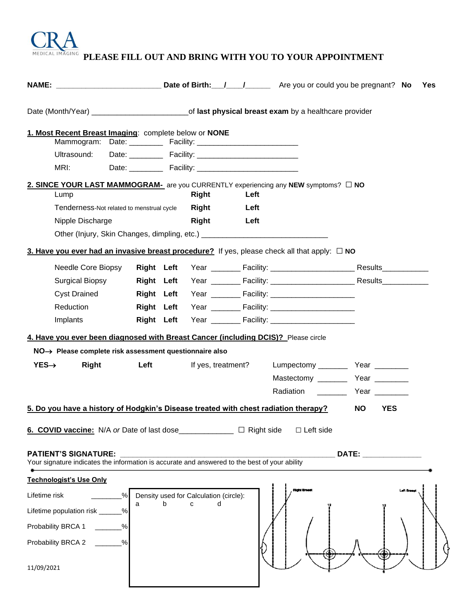

**PLEASE FILL OUT AND BRING WITH YOU TO YOUR APPOINTMENT**

|                                                                                                                                                                                                       |                                        |                                                                                  | Yes                                                                                                                                                                                                                            |
|-------------------------------------------------------------------------------------------------------------------------------------------------------------------------------------------------------|----------------------------------------|----------------------------------------------------------------------------------|--------------------------------------------------------------------------------------------------------------------------------------------------------------------------------------------------------------------------------|
|                                                                                                                                                                                                       |                                        |                                                                                  |                                                                                                                                                                                                                                |
| 1. Most Recent Breast Imaging: complete below or NONE<br>Ultrasound:<br>MRI:                                                                                                                          |                                        |                                                                                  |                                                                                                                                                                                                                                |
| 2. SINCE YOUR LAST MAMMOGRAM- are you CURRENTLY experiencing any NEW symptoms? □ NO<br>Lump                                                                                                           | <b>Right</b><br>Left                   |                                                                                  |                                                                                                                                                                                                                                |
| Tenderness-Not related to menstrual cycle<br>Nipple Discharge<br>Other (Injury, Skin Changes, dimpling, etc.) ___________________________________                                                     | Right<br>Left<br>Right<br>Left         |                                                                                  |                                                                                                                                                                                                                                |
| 3. Have you ever had an invasive breast procedure? If yes, please check all that apply: $\Box$ NO                                                                                                     |                                        |                                                                                  |                                                                                                                                                                                                                                |
| Needle Core Biopsy<br>Surgical Biopsy<br><b>Cyst Drained</b><br><b>Right Left</b><br>Reduction<br><b>Right Left</b><br>Implants<br><b>Right Left</b>                                                  | <b>Right Left</b>                      | Year _________ Facility: ________________________________ Results_______________ |                                                                                                                                                                                                                                |
| 4. Have you ever been diagnosed with Breast Cancer (including DCIS)? Please circle                                                                                                                    |                                        |                                                                                  |                                                                                                                                                                                                                                |
| NO→ Please complete risk assessment questionnaire also                                                                                                                                                |                                        |                                                                                  |                                                                                                                                                                                                                                |
| $YES\rightarrow$<br>Left<br>Right                                                                                                                                                                     | If yes, treatment?                     | Radiation __________ Year ________                                               |                                                                                                                                                                                                                                |
| 5. Do you have a history of Hodgkin's Disease treated with chest radiation therapy?                                                                                                                   |                                        |                                                                                  | <b>YES</b><br>NO L                                                                                                                                                                                                             |
| 6. COVID vaccine: N/A or Date of last dose______________ □ Right side<br><b>PATIENT'S SIGNATURE:</b><br>Your signature indicates the information is accurate and answered to the best of your ability |                                        | $\Box$ Left side                                                                 | DATE: the contract of the contract of the contract of the contract of the contract of the contract of the contract of the contract of the contract of the contract of the contract of the contract of the contract of the cont |
| <b>Technologist's Use Only</b>                                                                                                                                                                        |                                        |                                                                                  |                                                                                                                                                                                                                                |
| Lifetime risk                                                                                                                                                                                         | Density used for Calculation (circle): |                                                                                  |                                                                                                                                                                                                                                |
| a<br>Lifetime population risk ___<br>%                                                                                                                                                                | b<br>C<br>d                            |                                                                                  |                                                                                                                                                                                                                                |
| Probability BRCA 1                                                                                                                                                                                    |                                        |                                                                                  |                                                                                                                                                                                                                                |
| $\frac{0}{0}$<br>Probability BRCA 2                                                                                                                                                                   |                                        |                                                                                  |                                                                                                                                                                                                                                |
| 11/09/2021                                                                                                                                                                                            |                                        |                                                                                  |                                                                                                                                                                                                                                |